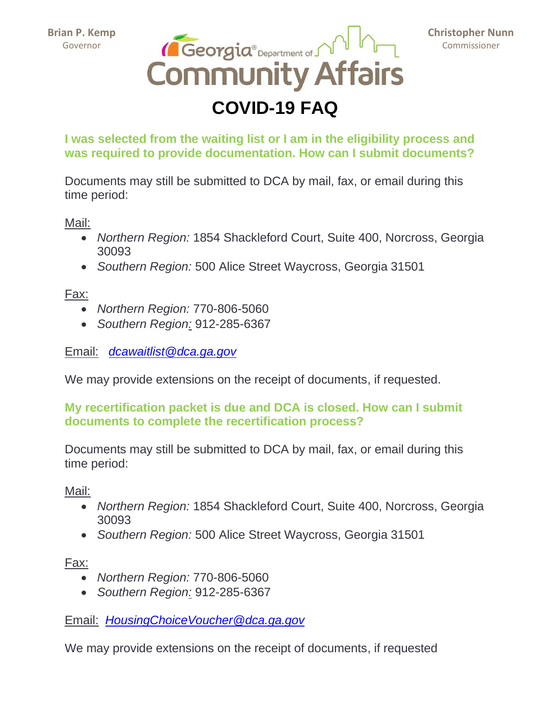

**Christopher Nunn** Commissioner

# **COVID-19 FAQ**

**I was selected from the waiting list or I am in the eligibility process and was required to provide documentation. How can I submit documents?**

Documents may still be submitted to DCA by mail, fax, or email during this time period:

Mail:

- *Northern Region:* 1854 Shackleford Court, Suite 400, Norcross, Georgia 30093
- *Southern Region:* 500 Alice Street Waycross, Georgia 31501

Fax:

- *Northern Region:* 770-806-5060
- *Southern Region:* 912-285-6367

Email: *[dcawaitlist@dca.ga.gov](mailto:dcawaitlist@dca.ga.gov)*

We may provide extensions on the receipt of documents, if requested.

## **My recertification packet is due and DCA is closed. How can I submit documents to complete the recertification process?**

Documents may still be submitted to DCA by mail, fax, or email during this time period:

Mail:

- *Northern Region:* 1854 Shackleford Court, Suite 400, Norcross, Georgia 30093
- *Southern Region:* 500 Alice Street Waycross, Georgia 31501

Fax:

- *Northern Region:* 770-806-5060
- *Southern Region:* 912-285-6367

Email: *[HousingChoiceVoucher@dca.ga.gov](mailto:HousingChoiceVoucher@dca.ga.gov)*

We may provide extensions on the receipt of documents, if requested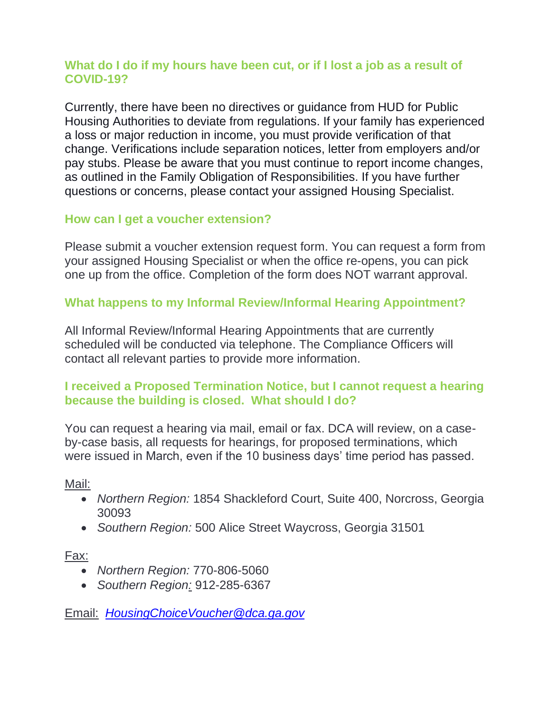## **What do I do if my hours have been cut, or if I lost a job as a result of COVID-19?**

Currently, there have been no directives or guidance from HUD for Public Housing Authorities to deviate from regulations. If your family has experienced a loss or major reduction in income, you must provide verification of that change. Verifications include separation notices, letter from employers and/or pay stubs. Please be aware that you must continue to report income changes, as outlined in the Family Obligation of Responsibilities. If you have further questions or concerns, please contact your assigned Housing Specialist.

## **How can I get a voucher extension?**

Please submit a voucher extension request form. You can request a form from your assigned Housing Specialist or when the office re-opens, you can pick one up from the office. Completion of the form does NOT warrant approval.

## **What happens to my Informal Review/Informal Hearing Appointment?**

All Informal Review/Informal Hearing Appointments that are currently scheduled will be conducted via telephone. The Compliance Officers will contact all relevant parties to provide more information.

## **I received a Proposed Termination Notice, but I cannot request a hearing because the building is closed. What should I do?**

You can request a hearing via mail, email or fax. DCA will review, on a caseby-case basis, all requests for hearings, for proposed terminations, which were issued in March, even if the 10 business days' time period has passed.

Mail:

- *Northern Region:* 1854 Shackleford Court, Suite 400, Norcross, Georgia 30093
- *Southern Region:* 500 Alice Street Waycross, Georgia 31501

Fax:

- *Northern Region:* 770-806-5060
- *Southern Region:* 912-285-6367

Email: *[HousingChoiceVoucher@dca.ga.gov](mailto:HousingChoiceVoucher@dca.ga.gov)*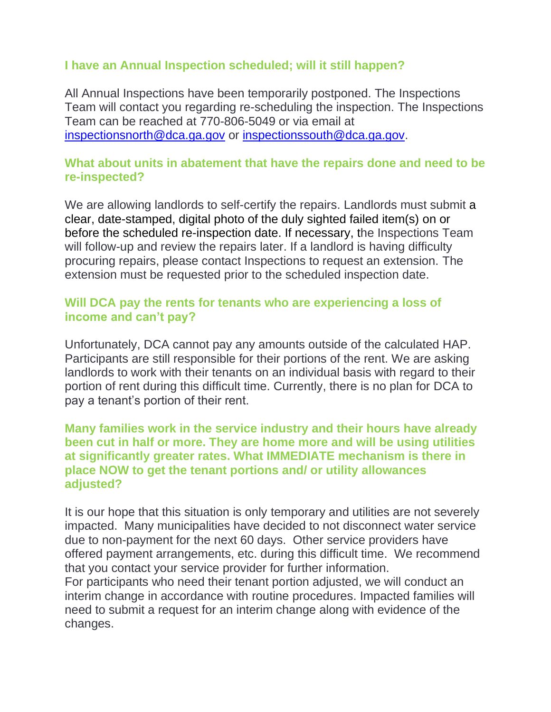## **I have an Annual Inspection scheduled; will it still happen?**

All Annual Inspections have been temporarily postponed. The Inspections Team will contact you regarding re-scheduling the inspection. The Inspections Team can be reached at 770-806-5049 or via email at [inspectionsnorth@dca.ga.gov](mailto:inspectionsnorth@dca.ga.gov) or [inspectionssouth@dca.ga.gov.](mailto:inspectionssouth@dca.ga.gov)

#### **What about units in abatement that have the repairs done and need to be re-inspected?**

We are allowing landlords to self-certify the repairs. Landlords must submit a clear, date-stamped, digital photo of the duly sighted failed item(s) on or before the scheduled re-inspection date. If necessary, the Inspections Team will follow-up and review the repairs later. If a landlord is having difficulty procuring repairs, please contact Inspections to request an extension. The extension must be requested prior to the scheduled inspection date.

#### **Will DCA pay the rents for tenants who are experiencing a loss of income and can't pay?**

Unfortunately, DCA cannot pay any amounts outside of the calculated HAP. Participants are still responsible for their portions of the rent. We are asking landlords to work with their tenants on an individual basis with regard to their portion of rent during this difficult time. Currently, there is no plan for DCA to pay a tenant's portion of their rent.

#### **Many families work in the service industry and their hours have already been cut in half or more. They are home more and will be using utilities at significantly greater rates. What IMMEDIATE mechanism is there in place NOW to get the tenant portions and/ or utility allowances adjusted?**

It is our hope that this situation is only temporary and utilities are not severely impacted. Many municipalities have decided to not disconnect water service due to non-payment for the next 60 days. Other service providers have offered payment arrangements, etc. during this difficult time. We recommend that you contact your service provider for further information.

For participants who need their tenant portion adjusted, we will conduct an interim change in accordance with routine procedures. Impacted families will need to submit a request for an interim change along with evidence of the changes.